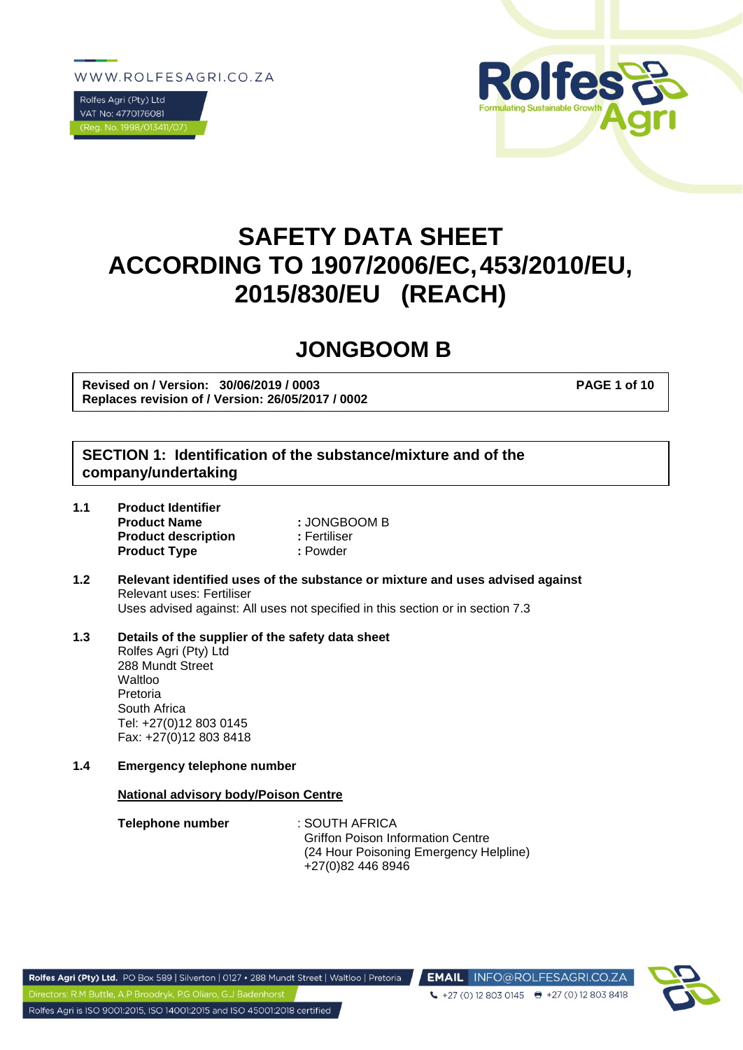WWW.ROLFESAGRI.CO.ZA





# **SAFETY DATA SHEET ACCORDING TO 1907/2006/EC,453/2010/EU, 2015/830/EU (REACH)**

## **JONGBOOM B**

**Revised on / Version: 30/06/2019 / 0003 PAGE 1 of 10 Replaces revision of / Version: 26/05/2017 / 0002**

## **SECTION 1: Identification of the substance/mixture and of the company/undertaking**

| 1.1 | <b>Product Identifier</b>  |              |  |  |
|-----|----------------------------|--------------|--|--|
|     | <b>Product Name</b>        | : JONGBOOM B |  |  |
|     | <b>Product description</b> | : Fertiliser |  |  |
|     | <b>Product Type</b>        | : Powder     |  |  |

**1.2 Relevant identified uses of the substance or mixture and uses advised against** Relevant uses: Fertiliser Uses advised against: All uses not specified in this section or in section 7.3

#### **1.3 Details of the supplier of the safety data sheet** Rolfes Agri (Pty) Ltd 288 Mundt Street **Waltloo** Pretoria South Africa Tel: +27(0)12 803 0145 Fax: +27(0)12 803 8418

**1.4 Emergency telephone number**

#### **National advisory body/Poison Centre**

| Telephone number | : SOUTH AFRICA                           |
|------------------|------------------------------------------|
|                  | <b>Griffon Poison Information Centre</b> |
|                  | (24 Hour Poisoning Emergency Helpline)   |
|                  | +27(0)82 446 8946                        |

EMAIL INFO@ROLFESAGRI.CO.ZA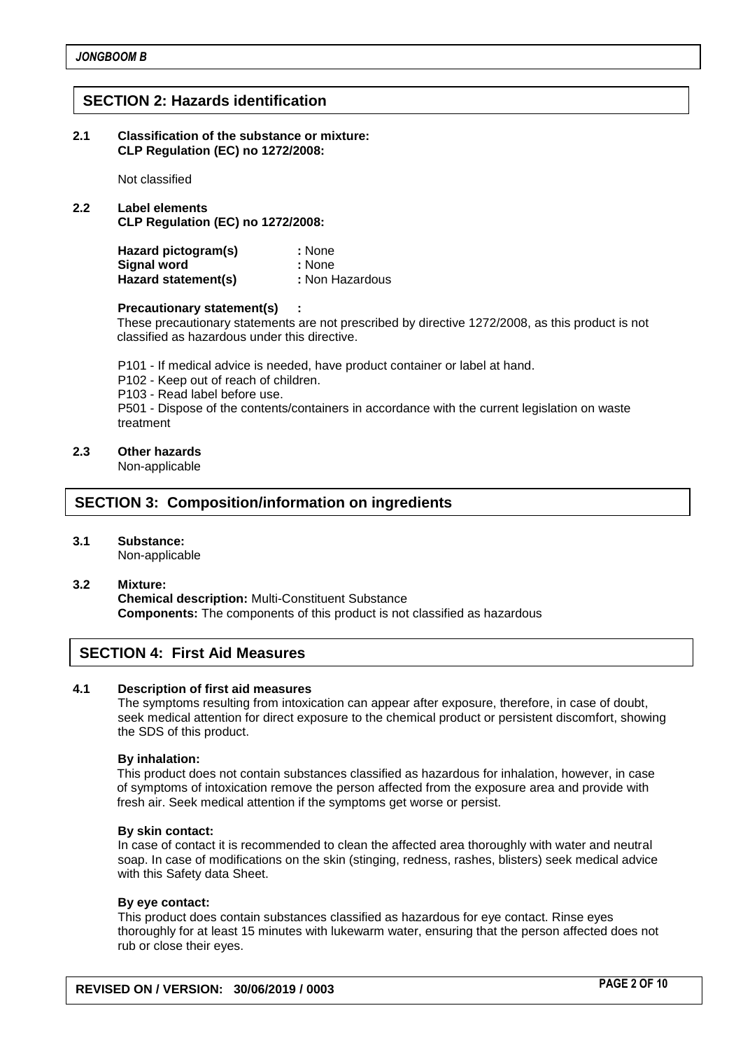## **SECTION 2: Hazards identification**

**2.1 Classification of the substance or mixture: CLP Regulation (EC) no 1272/2008:**

Not classified

**2.2 Label elements CLP Regulation (EC) no 1272/2008:**

| Hazard pictogram(s) | : None          |
|---------------------|-----------------|
| <b>Signal word</b>  | : None          |
| Hazard statement(s) | : Non Hazardous |

#### **Precautionary statement(s) :**

These precautionary statements are not prescribed by directive 1272/2008, as this product is not classified as hazardous under this directive.

P101 - If medical advice is needed, have product container or label at hand.

P102 - Keep out of reach of children.

P103 - Read label before use.

P501 - Dispose of the contents/containers in accordance with the current legislation on waste treatment

#### **2.3 Other hazards**

Non-applicable

## **SECTION 3: Composition/information on ingredients**

**3.1 Substance:**

Non-applicable

**3.2 Mixture:** 

**Chemical description:** Multi-Constituent Substance **Components:** The components of this product is not classified as hazardous

## **SECTION 4: First Aid Measures**

#### **4.1 Description of first aid measures**

The symptoms resulting from intoxication can appear after exposure, therefore, in case of doubt, seek medical attention for direct exposure to the chemical product or persistent discomfort, showing the SDS of this product.

#### **By inhalation:**

This product does not contain substances classified as hazardous for inhalation, however, in case of symptoms of intoxication remove the person affected from the exposure area and provide with fresh air. Seek medical attention if the symptoms get worse or persist.

#### **By skin contact:**

In case of contact it is recommended to clean the affected area thoroughly with water and neutral soap. In case of modifications on the skin (stinging, redness, rashes, blisters) seek medical advice with this Safety data Sheet.

#### **By eye contact:**

This product does contain substances classified as hazardous for eye contact. Rinse eyes thoroughly for at least 15 minutes with lukewarm water, ensuring that the person affected does not rub or close their eyes.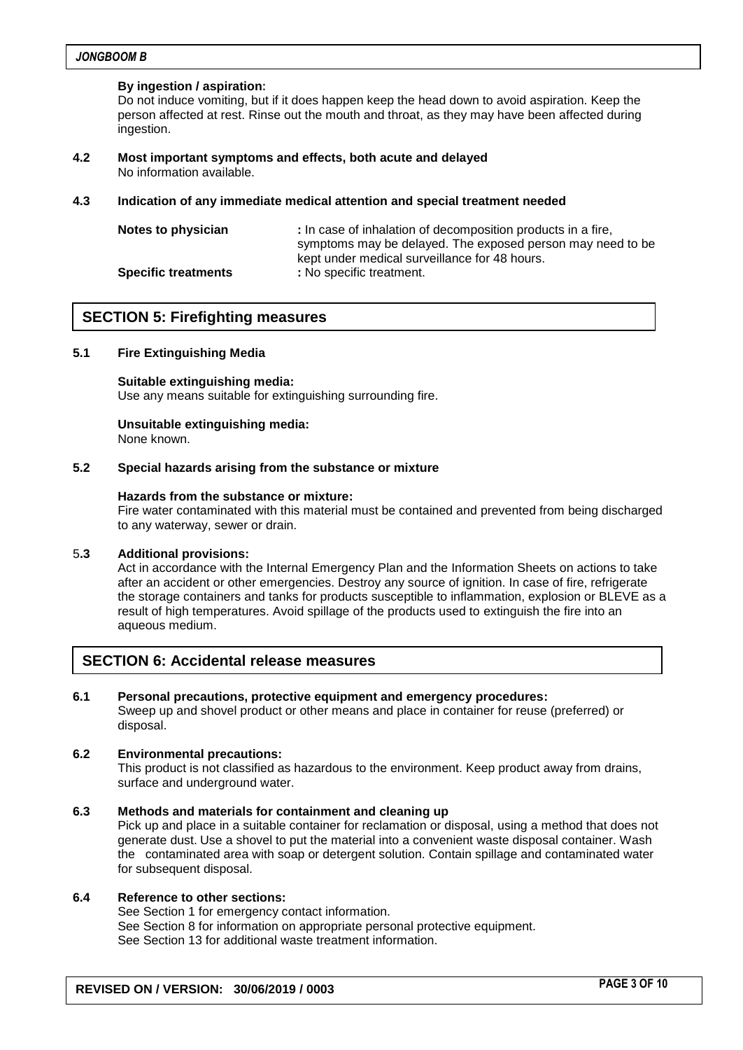#### **By ingestion / aspiration:**

Do not induce vomiting, but if it does happen keep the head down to avoid aspiration. Keep the person affected at rest. Rinse out the mouth and throat, as they may have been affected during ingestion.

**4.2 Most important symptoms and effects, both acute and delayed** No information available.

#### **4.3 Indication of any immediate medical attention and special treatment needed**

| Notes to physician         | : In case of inhalation of decomposition products in a fire, |
|----------------------------|--------------------------------------------------------------|
|                            | symptoms may be delayed. The exposed person may need to be   |
|                            | kept under medical surveillance for 48 hours.                |
| <b>Specific treatments</b> | : No specific treatment.                                     |

### **SECTION 5: Firefighting measures**

#### **5.1 Fire Extinguishing Media**

**Suitable extinguishing media:** Use any means suitable for extinguishing surrounding fire.

## **Unsuitable extinguishing media:**

None known.

#### **5.2 Special hazards arising from the substance or mixture**

#### **Hazards from the substance or mixture:**

Fire water contaminated with this material must be contained and prevented from being discharged to any waterway, sewer or drain.

#### 5**.3 Additional provisions:**

Act in accordance with the Internal Emergency Plan and the Information Sheets on actions to take after an accident or other emergencies. Destroy any source of ignition. In case of fire, refrigerate the storage containers and tanks for products susceptible to inflammation, explosion or BLEVE as a result of high temperatures. Avoid spillage of the products used to extinguish the fire into an aqueous medium.

#### **SECTION 6: Accidental release measures**

#### **6.1 Personal precautions, protective equipment and emergency procedures:**

Sweep up and shovel product or other means and place in container for reuse (preferred) or disposal.

#### **6.2 Environmental precautions:**

This product is not classified as hazardous to the environment. Keep product away from drains, surface and underground water.

#### **6.3 Methods and materials for containment and cleaning up**

Pick up and place in a suitable container for reclamation or disposal, using a method that does not generate dust. Use a shovel to put the material into a convenient waste disposal container. Wash the contaminated area with soap or detergent solution. Contain spillage and contaminated water for subsequent disposal.

#### **6.4 Reference to other sections:**

See Section 1 for emergency contact information. See Section 8 for information on appropriate personal protective equipment. See Section 13 for additional waste treatment information.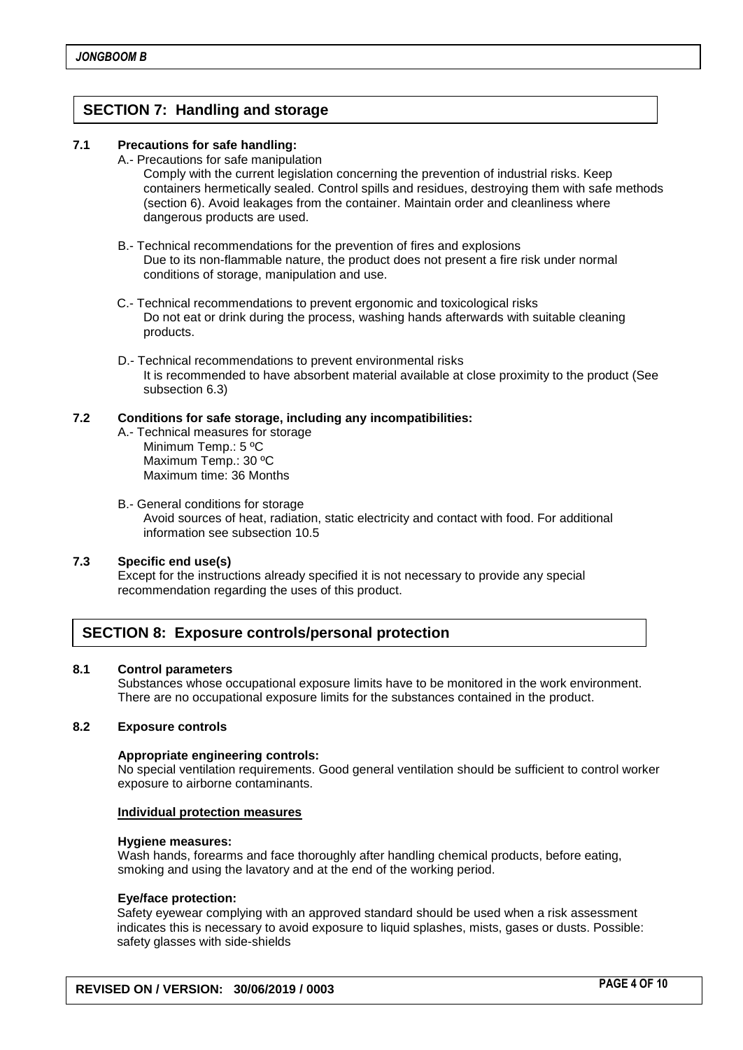## **SECTION 7: Handling and storage**

#### **7.1 Precautions for safe handling:**

A.- Precautions for safe manipulation

Comply with the current legislation concerning the prevention of industrial risks. Keep containers hermetically sealed. Control spills and residues, destroying them with safe methods (section 6). Avoid leakages from the container. Maintain order and cleanliness where dangerous products are used.

- B.- Technical recommendations for the prevention of fires and explosions Due to its non-flammable nature, the product does not present a fire risk under normal conditions of storage, manipulation and use.
- C.- Technical recommendations to prevent ergonomic and toxicological risks Do not eat or drink during the process, washing hands afterwards with suitable cleaning products.
- D.- Technical recommendations to prevent environmental risks It is recommended to have absorbent material available at close proximity to the product (See subsection 6.3)

#### **7.2 Conditions for safe storage, including any incompatibilities:**

- A.- Technical measures for storage Minimum Temp.: 5 ºC Maximum Temp.: 30 ºC Maximum time: 36 Months
- B.- General conditions for storage Avoid sources of heat, radiation, static electricity and contact with food. For additional information see subsection 10.5

#### **7.3 Specific end use(s)**

Except for the instructions already specified it is not necessary to provide any special recommendation regarding the uses of this product.

## **SECTION 8: Exposure controls/personal protection**

#### **8.1 Control parameters**

Substances whose occupational exposure limits have to be monitored in the work environment. There are no occupational exposure limits for the substances contained in the product.

#### **8.2 Exposure controls**

#### **Appropriate engineering controls:**

No special ventilation requirements. Good general ventilation should be sufficient to control worker exposure to airborne contaminants.

#### **Individual protection measures**

#### **Hygiene measures:**

Wash hands, forearms and face thoroughly after handling chemical products, before eating, smoking and using the lavatory and at the end of the working period.

#### **Eye/face protection:**

Safety eyewear complying with an approved standard should be used when a risk assessment indicates this is necessary to avoid exposure to liquid splashes, mists, gases or dusts. Possible: safety glasses with side-shields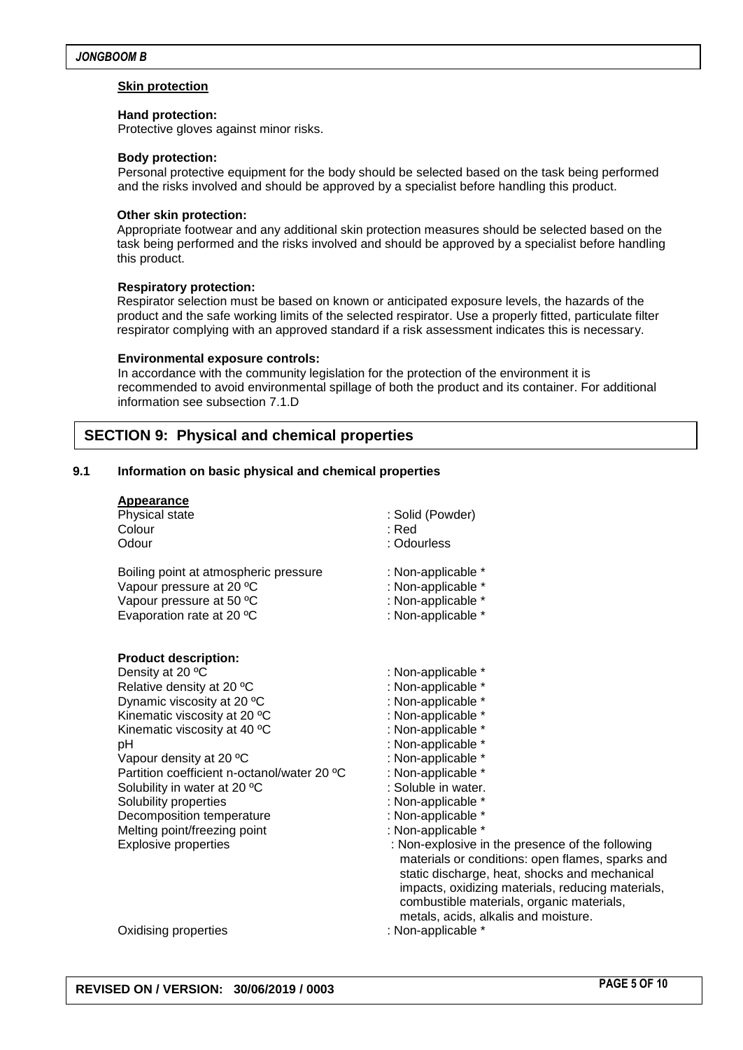#### **Skin protection**

#### **Hand protection:**

Protective gloves against minor risks.

#### **Body protection:**

Personal protective equipment for the body should be selected based on the task being performed and the risks involved and should be approved by a specialist before handling this product.

#### **Other skin protection:**

Appropriate footwear and any additional skin protection measures should be selected based on the task being performed and the risks involved and should be approved by a specialist before handling this product.

#### **Respiratory protection:**

Respirator selection must be based on known or anticipated exposure levels, the hazards of the product and the safe working limits of the selected respirator. Use a properly fitted, particulate filter respirator complying with an approved standard if a risk assessment indicates this is necessary.

#### **Environmental exposure controls:**

In accordance with the community legislation for the protection of the environment it is recommended to avoid environmental spillage of both the product and its container. For additional information see subsection 7.1.D

## **SECTION 9: Physical and chemical properties**

#### **9.1 Information on basic physical and chemical properties**

#### **Appearance**

| Physical state                                                                                                                                                                                                                                                                                                                                                                                                  | : Solid (Powder)                                                                                                                                                                                                                                                                                                                                                                                                                                                                                                                 |
|-----------------------------------------------------------------------------------------------------------------------------------------------------------------------------------------------------------------------------------------------------------------------------------------------------------------------------------------------------------------------------------------------------------------|----------------------------------------------------------------------------------------------------------------------------------------------------------------------------------------------------------------------------------------------------------------------------------------------------------------------------------------------------------------------------------------------------------------------------------------------------------------------------------------------------------------------------------|
| Colour                                                                                                                                                                                                                                                                                                                                                                                                          | : Red                                                                                                                                                                                                                                                                                                                                                                                                                                                                                                                            |
| Odour                                                                                                                                                                                                                                                                                                                                                                                                           | : Odourless                                                                                                                                                                                                                                                                                                                                                                                                                                                                                                                      |
| Boiling point at atmospheric pressure                                                                                                                                                                                                                                                                                                                                                                           | : Non-applicable *                                                                                                                                                                                                                                                                                                                                                                                                                                                                                                               |
| Vapour pressure at 20 °C                                                                                                                                                                                                                                                                                                                                                                                        | : Non-applicable *                                                                                                                                                                                                                                                                                                                                                                                                                                                                                                               |
| Vapour pressure at 50 °C                                                                                                                                                                                                                                                                                                                                                                                        | : Non-applicable *                                                                                                                                                                                                                                                                                                                                                                                                                                                                                                               |
| Evaporation rate at 20 °C                                                                                                                                                                                                                                                                                                                                                                                       | : Non-applicable *                                                                                                                                                                                                                                                                                                                                                                                                                                                                                                               |
| <b>Product description:</b><br>Density at 20 °C<br>Relative density at 20 °C<br>Dynamic viscosity at 20 °C<br>Kinematic viscosity at 20 °C<br>Kinematic viscosity at 40 °C<br>рH<br>Vapour density at 20 °C<br>Partition coefficient n-octanol/water 20 °C<br>Solubility in water at 20 °C<br>Solubility properties<br>Decomposition temperature<br>Melting point/freezing point<br><b>Explosive properties</b> | : Non-applicable *<br>: Non-applicable *<br>: Non-applicable *<br>: Non-applicable *<br>: Non-applicable *<br>: Non-applicable *<br>: Non-applicable *<br>: Non-applicable *<br>: Soluble in water.<br>: Non-applicable *<br>: Non-applicable *<br>: Non-applicable *<br>: Non-explosive in the presence of the following<br>materials or conditions: open flames, sparks and<br>static discharge, heat, shocks and mechanical<br>impacts, oxidizing materials, reducing materials,<br>combustible materials, organic materials, |
| Oxidising properties                                                                                                                                                                                                                                                                                                                                                                                            | metals, acids, alkalis and moisture.<br>: Non-applicable *                                                                                                                                                                                                                                                                                                                                                                                                                                                                       |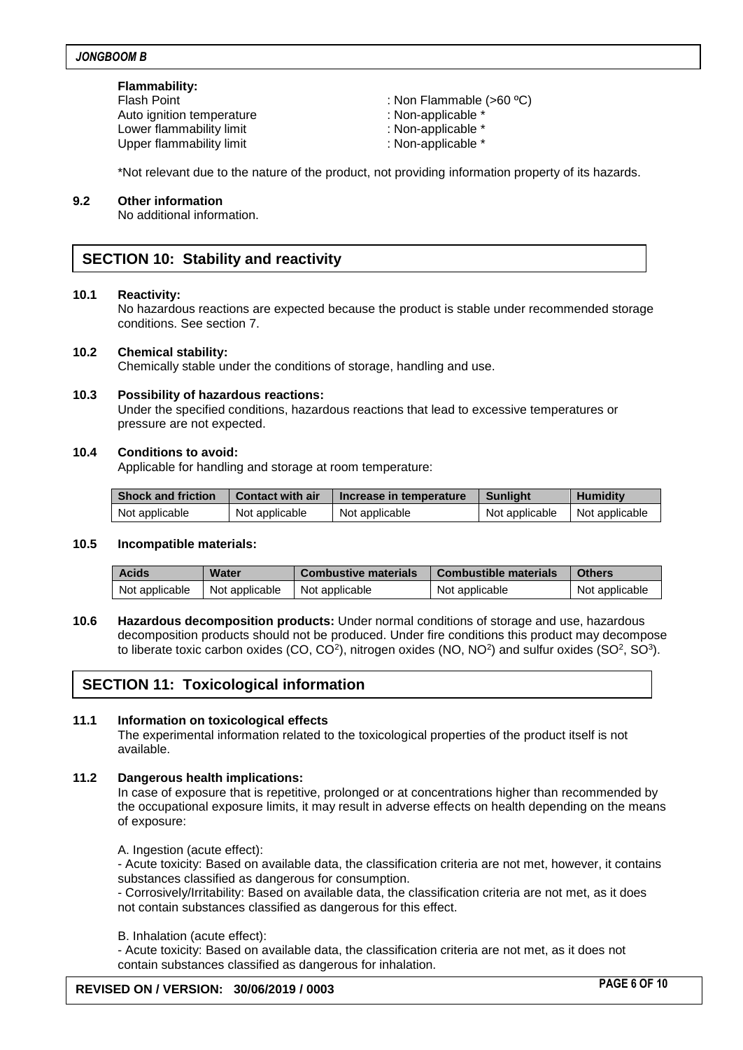#### **Flammability:**

Auto ignition temperature : Non-applicable \* Lower flammability limit  $\blacksquare$ Upper flammability limit in the state of the system of the Non-applicable \*

- Flash Point : Non Flammable (>60 °C)
	-
	-
	-

\*Not relevant due to the nature of the product, not providing information property of its hazards.

#### **9.2 Other information**

No additional information.

## **SECTION 10: Stability and reactivity**

#### **10.1 Reactivity:**

No hazardous reactions are expected because the product is stable under recommended storage conditions. See section 7.

#### **10.2 Chemical stability:**

Chemically stable under the conditions of storage, handling and use.

#### **10.3 Possibility of hazardous reactions:**

Under the specified conditions, hazardous reactions that lead to excessive temperatures or pressure are not expected.

#### **10.4 Conditions to avoid:**

Applicable for handling and storage at room temperature:

| <b>Shock and friction</b> | <b>Contact with air</b> | Increase in temperature | <b>Sunlight</b> | <b>Humidity</b> |
|---------------------------|-------------------------|-------------------------|-----------------|-----------------|
| Not applicable            | Not applicable          | Not applicable          | Not applicable  | Not applicable  |

#### **10.5 Incompatible materials:**

| <b>Acids</b>   | Water          | <b>Combustive materials</b> | <b>Combustible materials</b> | <b>Others</b>  |
|----------------|----------------|-----------------------------|------------------------------|----------------|
| Not applicable | Not applicable | Not applicable              | Not applicable               | Not applicable |

**10.6 Hazardous decomposition products:** Under normal conditions of storage and use, hazardous decomposition products should not be produced. Under fire conditions this product may decompose to liberate toxic carbon oxides (CO, CO<sup>2</sup>), nitrogen oxides (NO, NO<sup>2</sup>) and sulfur oxides (SO<sup>2</sup>, SO<sup>3</sup>).

## **SECTION 11: Toxicological information**

#### **11.1 Information on toxicological effects**

The experimental information related to the toxicological properties of the product itself is not available.

#### **11.2 Dangerous health implications:**

In case of exposure that is repetitive, prolonged or at concentrations higher than recommended by the occupational exposure limits, it may result in adverse effects on health depending on the means of exposure:

A. Ingestion (acute effect):

- Acute toxicity: Based on available data, the classification criteria are not met, however, it contains substances classified as dangerous for consumption.

- Corrosively/Irritability: Based on available data, the classification criteria are not met, as it does not contain substances classified as dangerous for this effect.

#### B. Inhalation (acute effect):

- Acute toxicity: Based on available data, the classification criteria are not met, as it does not contain substances classified as dangerous for inhalation.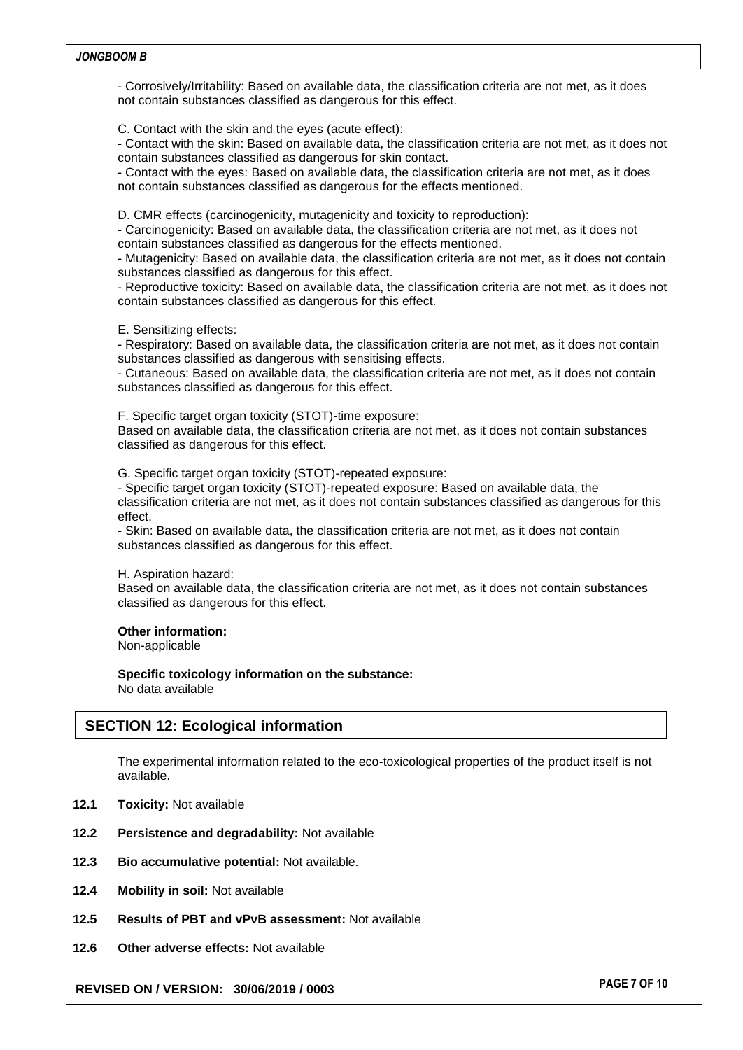- Corrosively/Irritability: Based on available data, the classification criteria are not met, as it does not contain substances classified as dangerous for this effect.

C. Contact with the skin and the eyes (acute effect):

- Contact with the skin: Based on available data, the classification criteria are not met, as it does not contain substances classified as dangerous for skin contact.

- Contact with the eyes: Based on available data, the classification criteria are not met, as it does not contain substances classified as dangerous for the effects mentioned.

D. CMR effects (carcinogenicity, mutagenicity and toxicity to reproduction):

- Carcinogenicity: Based on available data, the classification criteria are not met, as it does not contain substances classified as dangerous for the effects mentioned.

- Mutagenicity: Based on available data, the classification criteria are not met, as it does not contain substances classified as dangerous for this effect.

- Reproductive toxicity: Based on available data, the classification criteria are not met, as it does not contain substances classified as dangerous for this effect.

E. Sensitizing effects:

- Respiratory: Based on available data, the classification criteria are not met, as it does not contain substances classified as dangerous with sensitising effects.

- Cutaneous: Based on available data, the classification criteria are not met, as it does not contain substances classified as dangerous for this effect.

F. Specific target organ toxicity (STOT)-time exposure:

Based on available data, the classification criteria are not met, as it does not contain substances classified as dangerous for this effect.

G. Specific target organ toxicity (STOT)-repeated exposure:

- Specific target organ toxicity (STOT)-repeated exposure: Based on available data, the classification criteria are not met, as it does not contain substances classified as dangerous for this effect.

- Skin: Based on available data, the classification criteria are not met, as it does not contain substances classified as dangerous for this effect.

H. Aspiration hazard:

Based on available data, the classification criteria are not met, as it does not contain substances classified as dangerous for this effect.

#### **Other information:**

Non-applicable

**Specific toxicology information on the substance:** No data available

## **SECTION 12: Ecological information**

The experimental information related to the eco-toxicological properties of the product itself is not available.

- **12.1 Toxicity:** Not available
- **12.2 Persistence and degradability:** Not available
- **12.3 Bio accumulative potential:** Not available.
- **12.4 Mobility in soil:** Not available
- **12.5 Results of PBT and vPvB assessment:** Not available
- **12.6 Other adverse effects:** Not available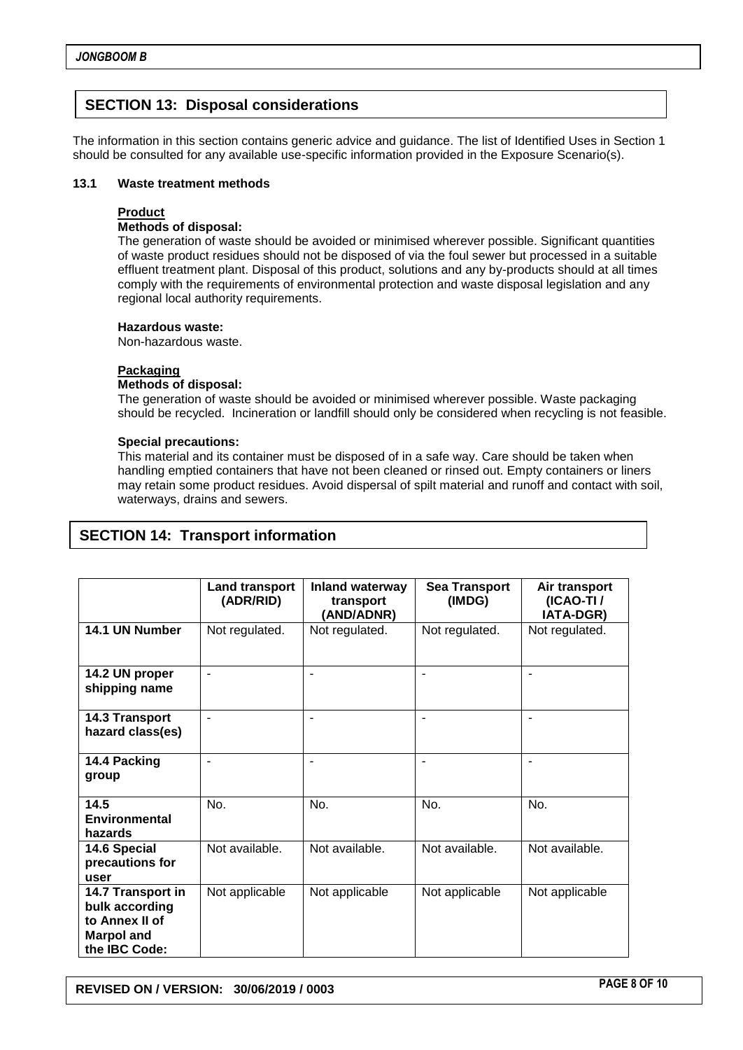## **SECTION 13: Disposal considerations**

The information in this section contains generic advice and guidance. The list of Identified Uses in Section 1 should be consulted for any available use-specific information provided in the Exposure Scenario(s).

#### **13.1 Waste treatment methods**

#### **Product**

#### **Methods of disposal:**

The generation of waste should be avoided or minimised wherever possible. Significant quantities of waste product residues should not be disposed of via the foul sewer but processed in a suitable effluent treatment plant. Disposal of this product, solutions and any by-products should at all times comply with the requirements of environmental protection and waste disposal legislation and any regional local authority requirements.

#### **Hazardous waste:**

Non-hazardous waste.

#### **Packaging**

#### **Methods of disposal:**

The generation of waste should be avoided or minimised wherever possible. Waste packaging should be recycled. Incineration or landfill should only be considered when recycling is not feasible.

#### **Special precautions:**

This material and its container must be disposed of in a safe way. Care should be taken when handling emptied containers that have not been cleaned or rinsed out. Empty containers or liners may retain some product residues. Avoid dispersal of spilt material and runoff and contact with soil, waterways, drains and sewers.

|                                                                                             | <b>Land transport</b><br>(ADR/RID) | <b>Inland waterway</b><br>transport<br>(AND/ADNR) | <b>Sea Transport</b><br>(IMDG) | Air transport<br>(ICAO-TI/<br><b>IATA-DGR)</b> |
|---------------------------------------------------------------------------------------------|------------------------------------|---------------------------------------------------|--------------------------------|------------------------------------------------|
| 14.1 UN Number                                                                              | Not regulated.                     | Not regulated.                                    | Not regulated.                 | Not regulated.                                 |
| 14.2 UN proper<br>shipping name                                                             |                                    |                                                   |                                |                                                |
| 14.3 Transport<br>hazard class(es)                                                          | $\blacksquare$                     | ۰                                                 | $\blacksquare$                 | $\blacksquare$                                 |
| 14.4 Packing<br>group                                                                       |                                    | ۰                                                 | ۰                              |                                                |
| 14.5<br><b>Environmental</b><br>hazards                                                     | No.                                | No.                                               | No.                            | No.                                            |
| 14.6 Special<br>precautions for<br>user                                                     | Not available.                     | Not available.                                    | Not available.                 | Not available.                                 |
| 14.7 Transport in<br>bulk according<br>to Annex II of<br><b>Marpol and</b><br>the IBC Code: | Not applicable                     | Not applicable                                    | Not applicable                 | Not applicable                                 |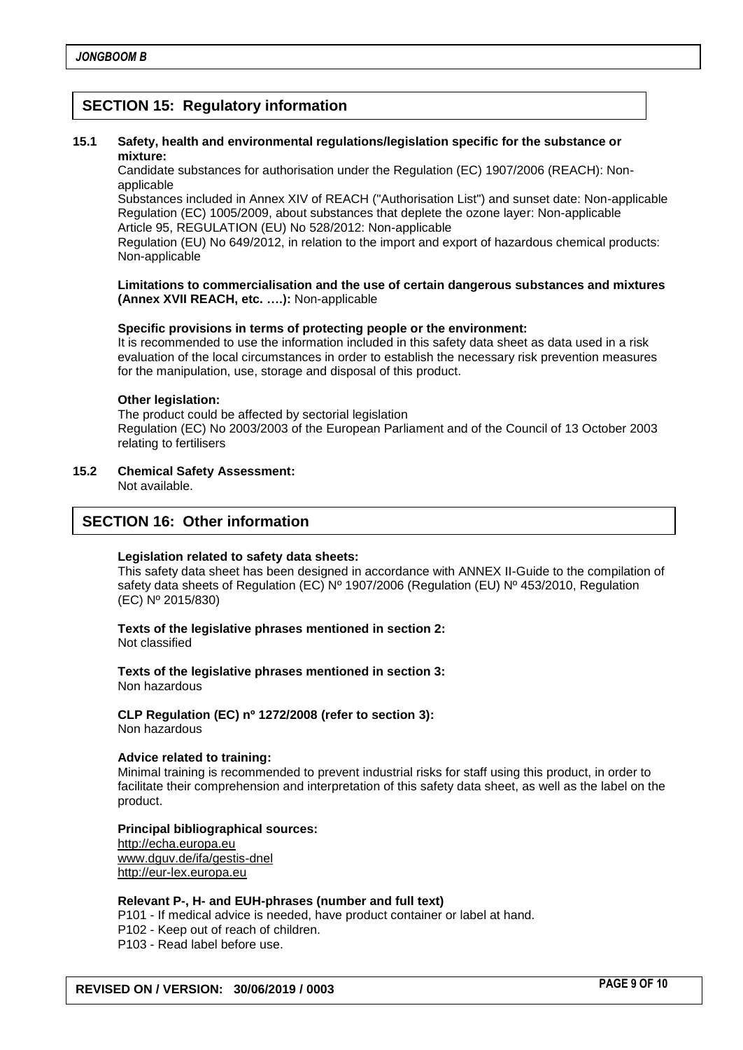## **SECTION 15: Regulatory information**

#### **15.1 Safety, health and environmental regulations/legislation specific for the substance or mixture:**

Candidate substances for authorisation under the Regulation (EC) 1907/2006 (REACH): Nonapplicable

Substances included in Annex XIV of REACH ("Authorisation List") and sunset date: Non-applicable Regulation (EC) 1005/2009, about substances that deplete the ozone layer: Non-applicable Article 95, REGULATION (EU) No 528/2012: Non-applicable

Regulation (EU) No 649/2012, in relation to the import and export of hazardous chemical products: Non-applicable

#### **Limitations to commercialisation and the use of certain dangerous substances and mixtures (Annex XVII REACH, etc. ….):** Non-applicable

#### **Specific provisions in terms of protecting people or the environment:**

It is recommended to use the information included in this safety data sheet as data used in a risk evaluation of the local circumstances in order to establish the necessary risk prevention measures for the manipulation, use, storage and disposal of this product.

#### **Other legislation:**

The product could be affected by sectorial legislation Regulation (EC) No 2003/2003 of the European Parliament and of the Council of 13 October 2003 relating to fertilisers

## **15.2 Chemical Safety Assessment:**

Not available.

### **SECTION 16: Other information**

#### **Legislation related to safety data sheets:**

This safety data sheet has been designed in accordance with ANNEX II-Guide to the compilation of safety data sheets of Regulation (EC) Nº 1907/2006 (Regulation (EU) Nº 453/2010, Regulation (EC) Nº 2015/830)

**Texts of the legislative phrases mentioned in section 2:** Not classified

**Texts of the legislative phrases mentioned in section 3:** Non hazardous

**CLP Regulation (EC) nº 1272/2008 (refer to section 3):** Non hazardous

#### **Advice related to training:**

Minimal training is recommended to prevent industrial risks for staff using this product, in order to facilitate their comprehension and interpretation of this safety data sheet, as well as the label on the product.

#### **Principal bibliographical sources:**

[http://echa.europa.eu](http://echa.europa.eu/) [www.dguv.de/ifa/gestis-dnel](http://www.dguv.de/ifa/gestis-dnel) [http://eur-lex.europa.eu](http://eur-lex.europa.eu/)

#### **Relevant P-, H- and EUH-phrases (number and full text)**

P101 - If medical advice is needed, have product container or label at hand.

- P102 Keep out of reach of children.
- P103 Read label before use.